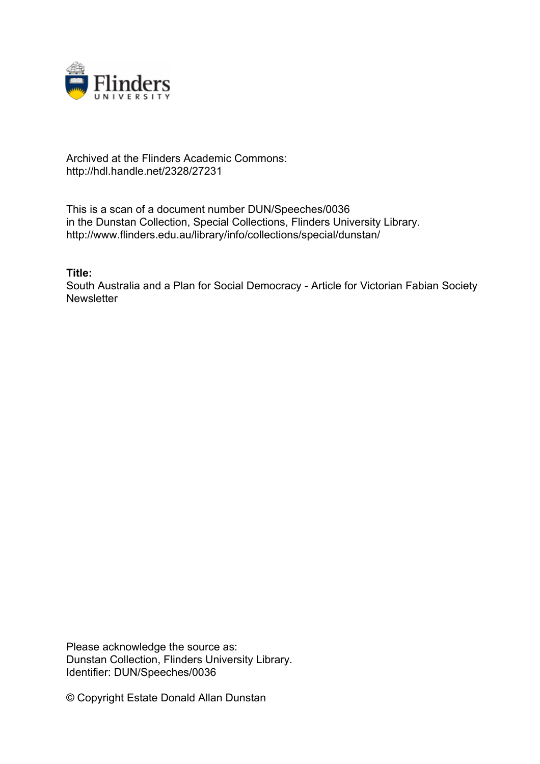

## Archived at the Flinders Academic Commons: http://hdl.handle.net/2328/27231

This is a scan of a document number DUN/Speeches/0036 in the Dunstan Collection, Special Collections, Flinders University Library. http://www.flinders.edu.au/library/info/collections/special/dunstan/

**Title:**

South Australia and a Plan for Social Democracy - Article for Victorian Fabian Society **Newsletter** 

Please acknowledge the source as: Dunstan Collection, Flinders University Library. Identifier: DUN/Speeches/0036

© Copyright Estate Donald Allan Dunstan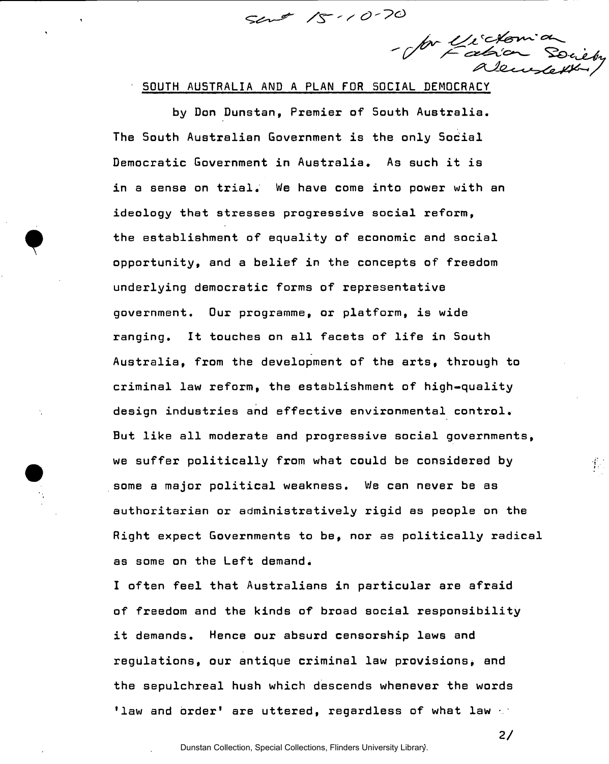$surt 1s \cdot 10.70$ 

- for Unidon a

SOUTH AUSTRALIA AND A PLAN FOR SOCIAL DEMOCRACY

by Don Dunstan, Premier of South Australia. The South Australian Government is the only Social Democratic Government in Australia. As such it is in a sense on trial. We have come into power with an ideology that stresses progressive social reform, the establishment of equality of economic and social opportunity, and a belief in the concepts of freedom underlying democratic forms of representative government. Our programme, or platform, is wide ranging. It touches on all facets of life in South Australia, from the development of the arts, through to criminal law reform, the establishment of high-quality design industries and effective environmental control. But like all moderate and progressive social governments, we suffer politically from what could be considered by some a major political weakness. We can never be as authoritarian or administratively rigid as people on the Right expect Governments to be, nor as politically radical as some on the Left demand.

I often feel that Australians in particular are afraid of freedom and the kinds of broad social responsibility it demands. Hence our absurd censorship laws and regulations, our antique criminal law provisions, and the sepulchreal hush which descends whenever the words 'law and order' are uttered, regardless of what law  $\ll$ 

**2/** 

 $\mathcal{V}_\mathrm{c}$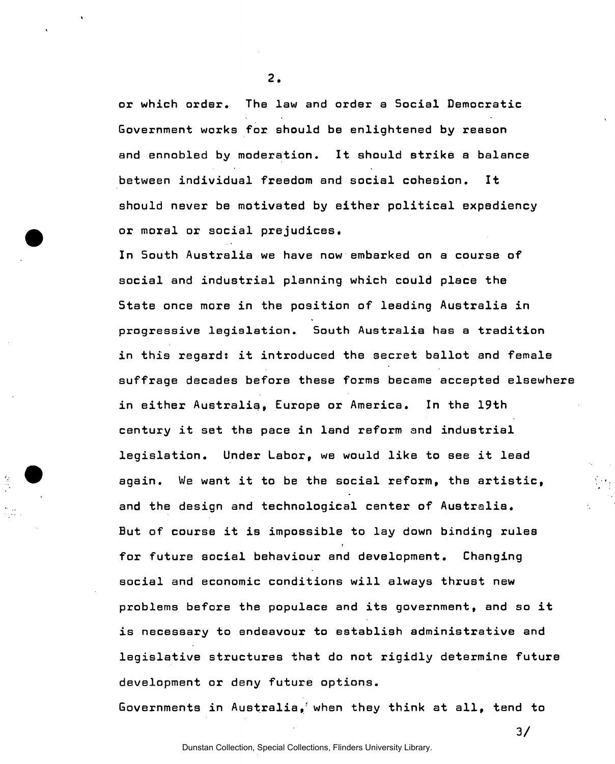or which order. The law and order a Social Democratic Government works for should be enlightened by reason and ennobled by moderation. It should strike a balance between individual freedom and social cohesion. It should never be motivated by either political expediency or moral or social prejudices.

In South Australia we have now embarked on a course of social and industrial planning which could place the State once more in the position of leading Australia in progressive legislation. South Australia has a tradition in this regard: it introduced the secret ballot and female suffrage decades before these forms became accepted elsewhere in either Australia, Europe or America. In the 19th century it set the pace in land reform and industrial legislation. Under Labor, we would like to see it lead again. We want it to be the social reform, the artistic, and the design and technological center of Australia. But of course it is impossible to lay down binding rules for future social behaviour and development. Changing social and economic conditions will always thrust new problems before the populace and its government, and so it is necessary to endeavour to establish administrative and legislative structures that do not rigidly determine future development or deny future options.

Governments in Australia, when they think at all, tend to

**8.**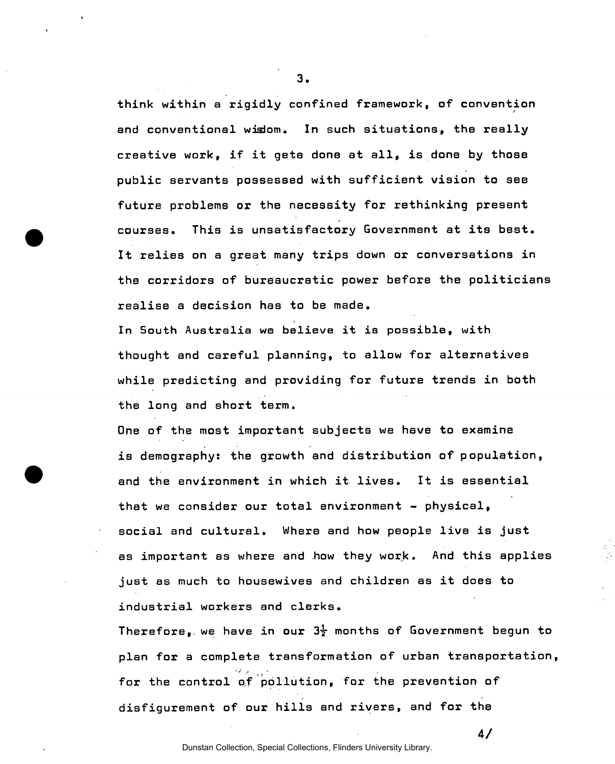think within a rigidly confined framework, of convention and conventional wislom. In such situations, the really creative work, if it gets done at all, is done by those public servants possessed with sufficient vision to see future problems or the necessity for rethinking present courses. This is unsatisfactory Government at its best. It relies on a great many trips down or conversations in the corridors of bureaucratic power before the politicians realise a decision has to be made.

In South Australia we believe it is possible, with thought and careful planning, to allow for alternatives while predicting and providing for future trends in both the long and short term.

One of the most important subjects we have to examine is demography: the growth and distribution of population, and the environment in which it lives. It is essential that we consider our total environment - physical, social and cultural. Where and how people live is just as important as where and how they work. And this applies just as much to housewives and children as it does to industrial workers and clerks.

Therefore, we have in our  $3\frac{1}{2}$  months of Government begun to plan for a complete transformation of urban transportation, for the control of pollution, for the prevention of disfigurement of our hills and rivers, and for the

Dunstan Collection, Special Collections, Flinders University Library.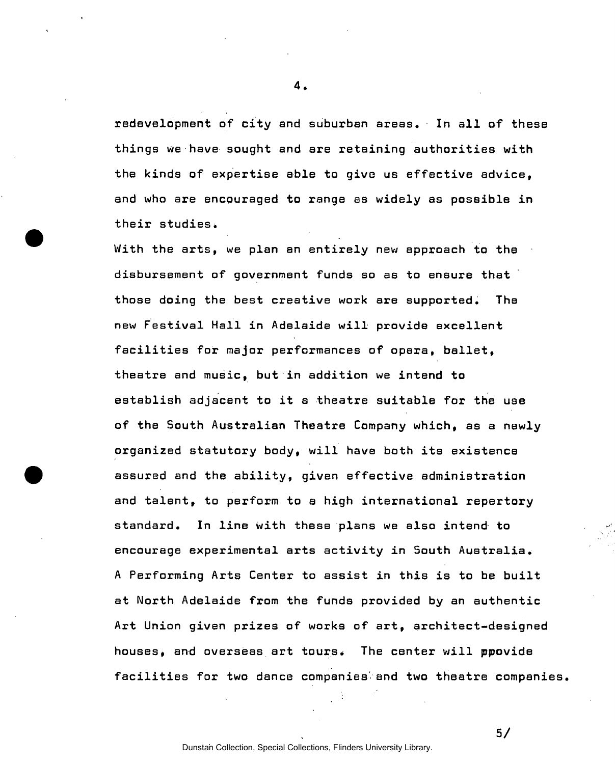redevelopment of city and suburban areas. In all of these things we have sought and are retaining authorities with the kinds of expertise able to give us effective advice, and who are encouraged to range as widely as possible in their studies.

With the arts, we plan an entirely new approach to the disbursement of government funds so as to ensure that those doing the best creative work are supported. The new Festival Hall in Adelaide will provide excellent facilities for major performances of opera, ballet, theatre and music, but in addition we intend to establish adjacent to it a theatre suitable for the use of the 5outh Australian Theatre Company which, as a newly organized statutory body, will have both its existence assured and the ability, given effective administration and talent, to perform to a high international repertory standard. In line with these plans we also intend to encourage experimental arts activity in South Australia. A Performing Arts Center to assist in this is to be built at North Adelaide from the funds provided by an authentic Art Union given prizes of works of art, architect-designed houses, and overseas art tours. The center will ppovide facilities for two dance companies' and two theatre companies.

**4** 

Dunstan Collection, Special Collections, Flinders University Library.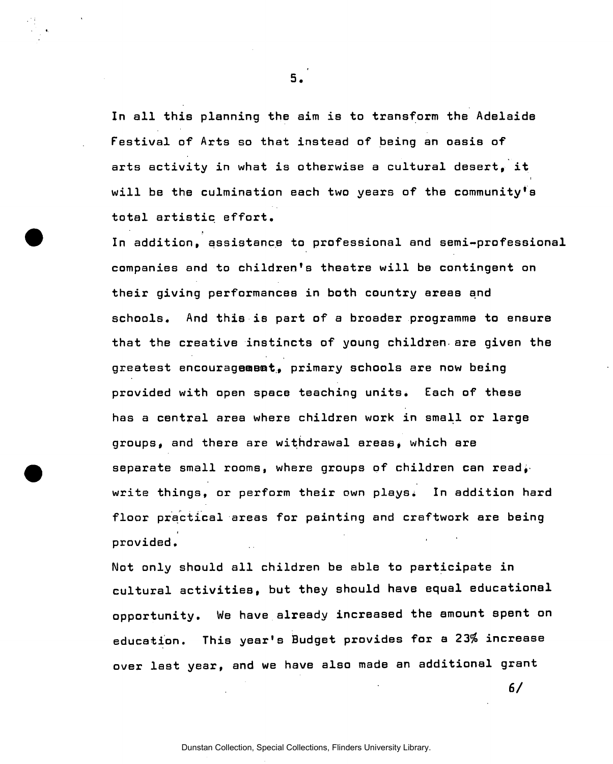In all this planning the aim is to transform the Adelaide Festival of Arts so that instead of being an oasis of arts activity in what is otherwise a cultural desert, it will be the culmination each two years of the community's total artistic effort.

In addition, assistance to professional and semi-professional companies and to children's theatre will be contingent on their giving performances in both country areas and schools. And this is part of a broader programme to ensure that the creative instincts of young children-are given the greatest encouragement, primary schools are now being provided with open space teaching units. Each of these has a central area where children work in small or large groups, and there are withdrawal areas, which are separate small rooms, where groups of children can read. write things, or perform their own plays. In addition hard floor practical areas for painting and craftwork are being provided.

Not only should all children be able to participate in cultural activities, but they should have equal educational opportunity. We have already increased the amount spent on education. This year's Budget provides for a 23% increase over last year, and we have also made an additional grant

6/

**5.**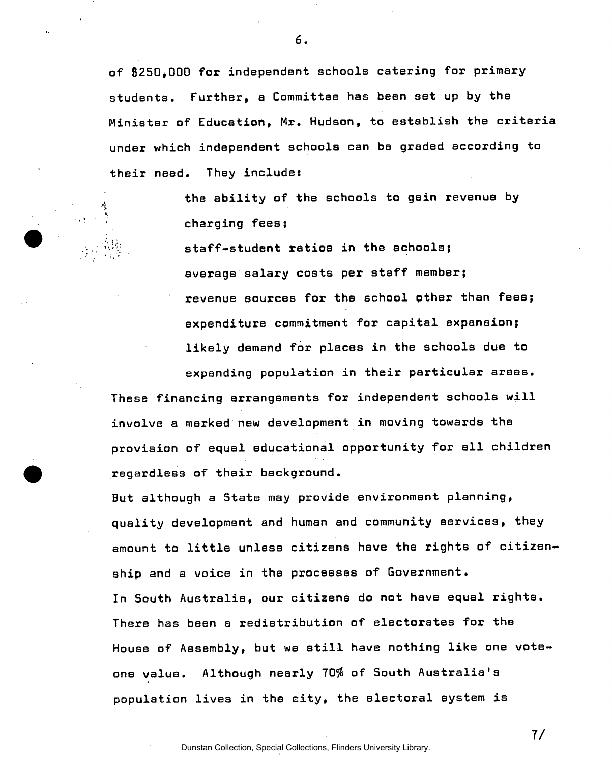of \$250,000 for independent schools catering for primary students. Further, a Committee has been set up by the Minister of Education, Mr. Hudson, to establish the criteria under which independent schools can be graded according to their need. They include:

 $6.$ 

the ability of the schools to gain revenue by charging fees;

staff-student ratios in the schools; average salary costs per staff member; revenue sources for the school other than fees; expenditure commitment for capital expansion; likely demand for places in the schools due to expanding population in their particular areas. These financing arrangements for independent schools will involve a marked new development in moving towards the provision of equal educational opportunity for all children regardless of their background.

But although a State may provide environment planning, quality development and human and community services, they amount to little unless citizens have the rights of citizenship and a voice in the processes of Government. In South Australia, our citizens do not have equal rights. There has been a redistribution of electorates for the House of Assembly, but we still have nothing like one voteone value. Although nearly 70% of South Australia's population lives in the city, the electoral system is

Dunstan Collection, Special Collections, Flinders University Library.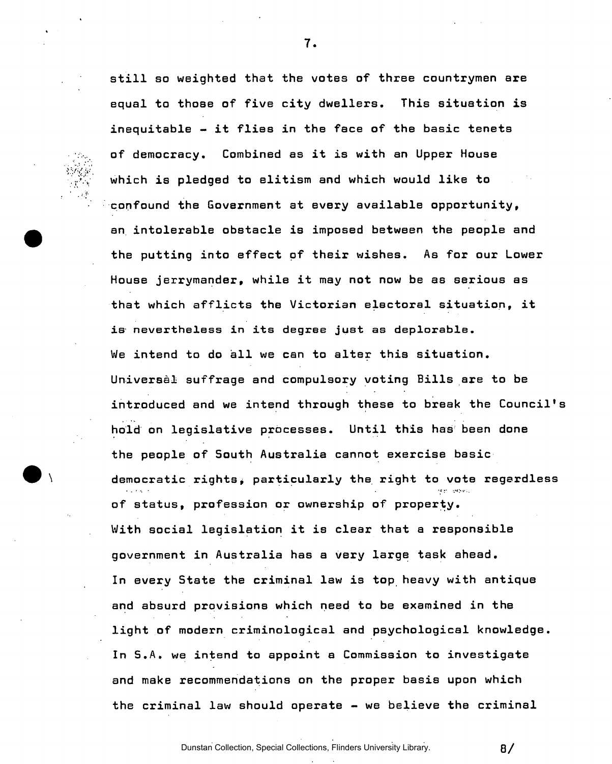

equal to those of five city dwellers. This situation is inequitable  $-$  it flies in the face of the basic tenets of democracy. Combined as it is with an Upper House which is pledged to elitism and which would like to confound the Government at every available opportunity, an intolerable obstacle is imposed between the people and the putting into effect of their wishes. As for our Lower House jerrymander, while it may not now be as serious as that which afflicts the Victorian electoral situation, it is nevertheless in its degree just as deplorable. We intend to do all we can to alter this situation. Universal suffrage and compulsory voting Bills are to be introduced and we intend through these to break the Council's hold on legislative processes. Until this has been done the people of South Australia cannot exercise basic democratic rights, particularly the right to vote regardless of status, profession or ownership of property. With social legislation it is clear that a responsible government in Australia has a very large task ahead. In every State the criminal law is top heavy with antique and absurd provisions which need to be examined in the light of modern criminological and psychological knowledge. In S.A. we intend to appoint a Commission to investigate and make recommendations on the proper basis upon which the criminal law should operate - we believe the criminal

**7.** 

still so weighted that the votes of three countrymen are

Dunstan Collection, Special Collections, Flinders University Library.

**a/**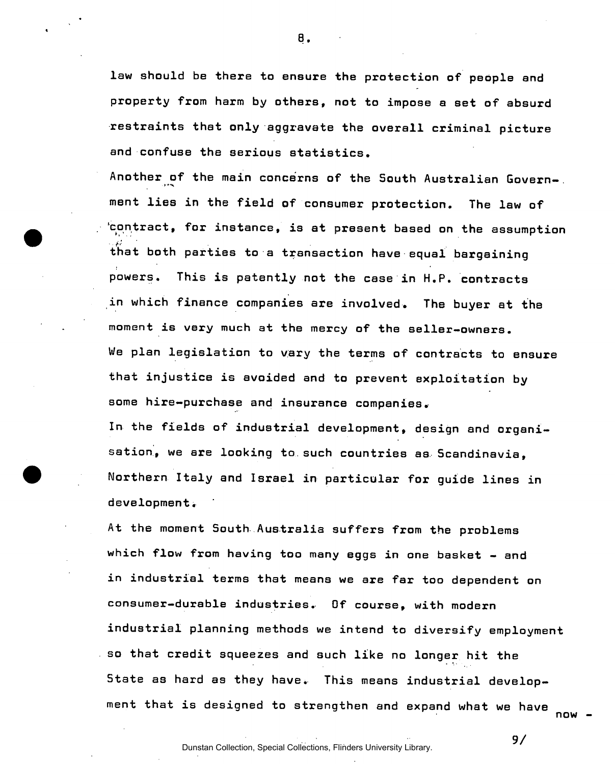law should be there to ensure the protection of people and property from harm by others, not to impose a set of absurd restraints that only aggravate the overall criminal picture and confuse the serious statistics.

**8.** 

Another of the main concerns of the South Australian Government lies in the field of consumer protection. The law of 'contract, for instance, is at present based on the assumption that both parties to a transaction have equal bargaining powers. This is patently not the case in H.P. contracts in which finance companies are involved. The buyer at the moment is very much at the mercy of the seller-owners. We plan legislation to vary the terms of contracts to ensure that injustice is avoided and to prevent exploitation by some hire-purchase and insurance companies. In the fields of industrial development, design and organisation, we are looking to such countries as Scandinavia,

Northern Italy and Israel in particular for guide lines in development.

At the moment South Australia suffers from the problems which flow from having too many eggs in one basket - and in industrial terms that means we are far too dependent on consumer-durable industries. Of course, with modern industrial planning methods we intend to diversify employment so that credit squeezes and such like no longer hit the State as hard as they have. This means industrial development that is designed to strengthen and expand what we have nnw

State as hard as they have. This means industrial develop-